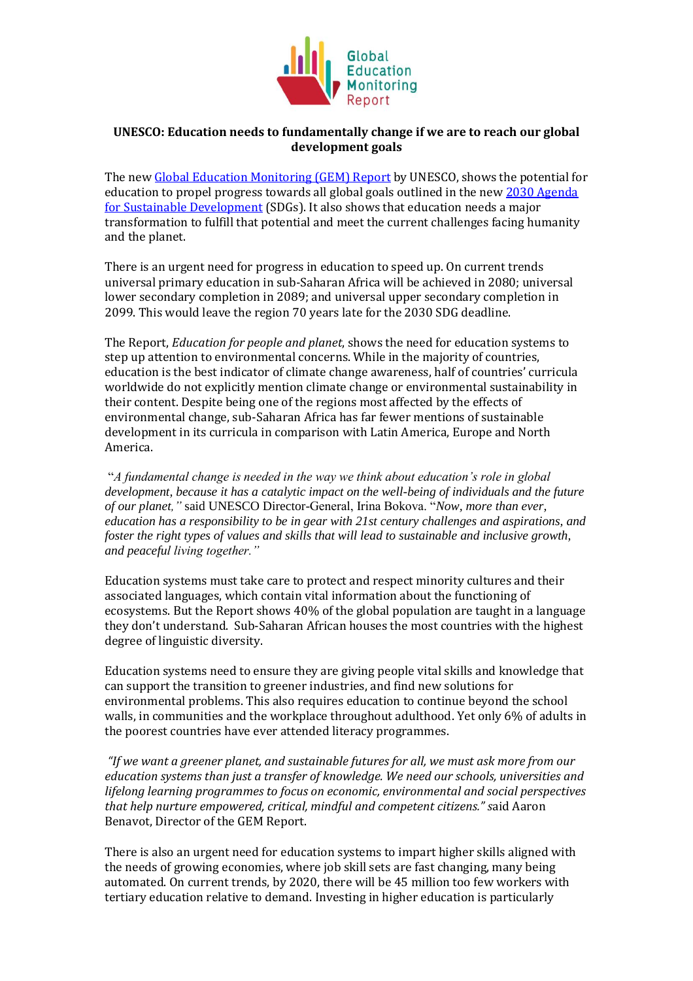

## **UNESCO: Education needs to fundamentally change if we are to reach our global development goals**

The new [Global Education Monitoring \(GEM\) Report](https://bitly.com/sdg4all) by UNESCO, shows the potential for education to propel progress towards all global goals outlined in the new 2030 Agenda [for Sustainable Development](http://www.un.org/sustainabledevelopment/sustainable-development-goals/) (SDGs). It also shows that education needs a major transformation to fulfill that potential and meet the current challenges facing humanity and the planet.

There is an urgent need for progress in education to speed up. On current trends universal primary education in sub-Saharan Africa will be achieved in 2080; universal lower secondary completion in 2089; and universal upper secondary completion in 2099. This would leave the region 70 years late for the 2030 SDG deadline.

The Report, *Education for people and planet*, shows the need for education systems to step up attention to environmental concerns. While in the majority of countries, education is the best indicator of climate change awareness, half of countries' curricula worldwide do not explicitly mention climate change or environmental sustainability in their content. Despite being one of the regions most affected by the effects of environmental change, sub-Saharan Africa has far fewer mentions of sustainable development in its curricula in comparison with Latin America, Europe and North America.

"*A fundamental change is needed in the way we think about education's role in global development, because it has a catalytic impact on the well-being of individuals and the future of our planet,"* said UNESCO Director-General, Irina Bokova. "*Now, more than ever, education has a responsibility to be in gear with 21st century challenges and aspirations, and foster the right types of values and skills that will lead to sustainable and inclusive growth, and peaceful living together."*

Education systems must take care to protect and respect minority cultures and their associated languages, which contain vital information about the functioning of ecosystems. But the Report shows 40% of the global population are taught in a language they don't understand. Sub-Saharan African houses the most countries with the highest degree of linguistic diversity.

Education systems need to ensure they are giving people vital skills and knowledge that can support the transition to greener industries, and find new solutions for environmental problems. This also requires education to continue beyond the school walls, in communities and the workplace throughout adulthood. Yet only 6% of adults in the poorest countries have ever attended literacy programmes.

*"If we want a greener planet, and sustainable futures for all, we must ask more from our education systems than just a transfer of knowledge. We need our schools, universities and lifelong learning programmes to focus on economic, environmental and social perspectives that help nurture empowered, critical, mindful and competent citizens." s*aid Aaron Benavot, Director of the GEM Report.

There is also an urgent need for education systems to impart higher skills aligned with the needs of growing economies, where job skill sets are fast changing, many being automated. On current trends, by 2020, there will be 45 million too few workers with tertiary education relative to demand. Investing in higher education is particularly